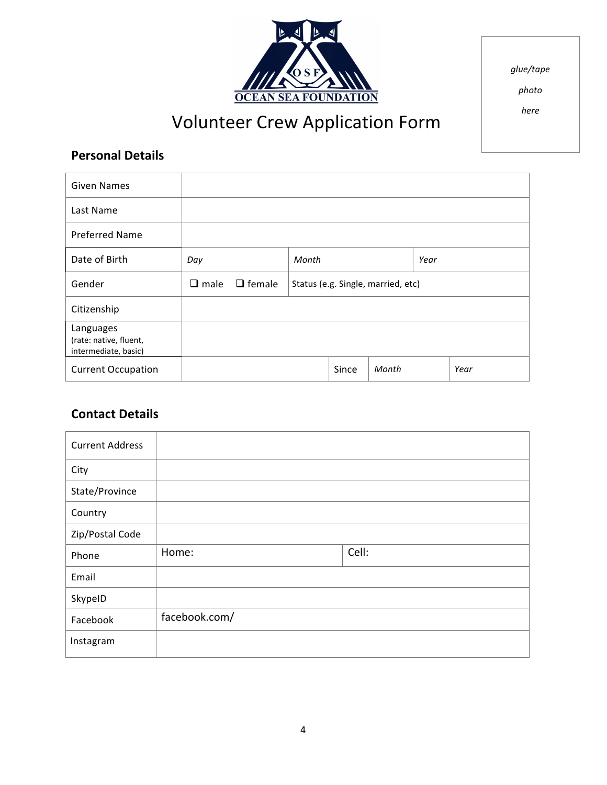

*glue/tape*

*photo*

*here*

# Volunteer Crew Application Form

## **Personal Details**

| <b>Given Names</b>                                          |                |               |       |       |                                    |      |      |
|-------------------------------------------------------------|----------------|---------------|-------|-------|------------------------------------|------|------|
| Last Name                                                   |                |               |       |       |                                    |      |      |
| <b>Preferred Name</b>                                       |                |               |       |       |                                    |      |      |
| Date of Birth                                               | Day            |               | Month |       |                                    | Year |      |
| Gender                                                      | $\square$ male | $\Box$ female |       |       | Status (e.g. Single, married, etc) |      |      |
| Citizenship                                                 |                |               |       |       |                                    |      |      |
| Languages<br>(rate: native, fluent,<br>intermediate, basic) |                |               |       |       |                                    |      |      |
| <b>Current Occupation</b>                                   |                |               |       | Since | Month                              |      | Year |

## **Contact Details**

| <b>Current Address</b> |               |       |
|------------------------|---------------|-------|
| City                   |               |       |
| State/Province         |               |       |
| Country                |               |       |
| Zip/Postal Code        |               |       |
| Phone                  | Home:         | Cell: |
| Email                  |               |       |
| SkypeID                |               |       |
| Facebook               | facebook.com/ |       |
| Instagram              |               |       |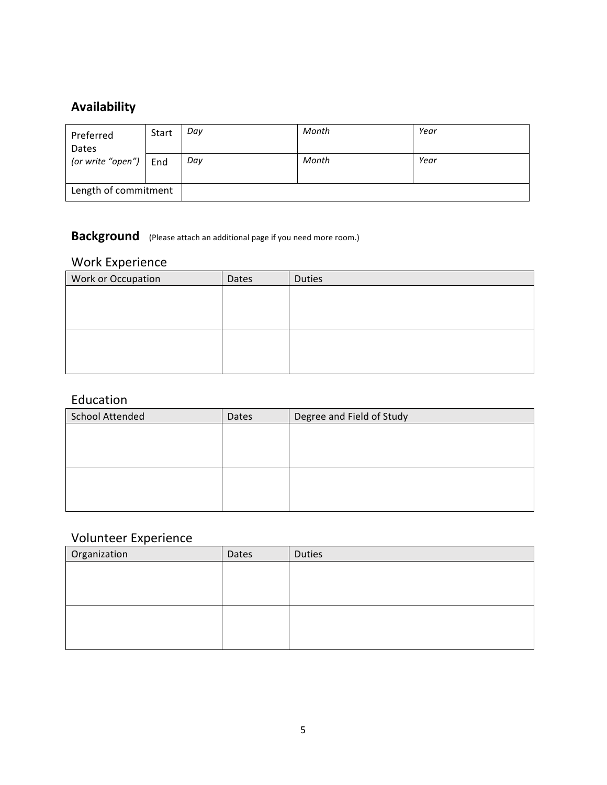## **Availability**

| Preferred<br>Dates   | Start | Day | Month | Year |
|----------------------|-------|-----|-------|------|
| (or write "open")    | End   | Day | Month | Year |
|                      |       |     |       |      |
| Length of commitment |       |     |       |      |

## **Background** (Please attach an additional page if you need more room.)

## Work Experience

| Work or Occupation | Dates | <b>Duties</b> |
|--------------------|-------|---------------|
|                    |       |               |
|                    |       |               |
|                    |       |               |
|                    |       |               |
|                    |       |               |
|                    |       |               |

#### Education

| <b>School Attended</b> | Dates | Degree and Field of Study |
|------------------------|-------|---------------------------|
|                        |       |                           |
|                        |       |                           |
|                        |       |                           |
|                        |       |                           |
|                        |       |                           |
|                        |       |                           |

## Volunteer Experience

| Organization | Dates | <b>Duties</b> |
|--------------|-------|---------------|
|              |       |               |
|              |       |               |
|              |       |               |
|              |       |               |
|              |       |               |
|              |       |               |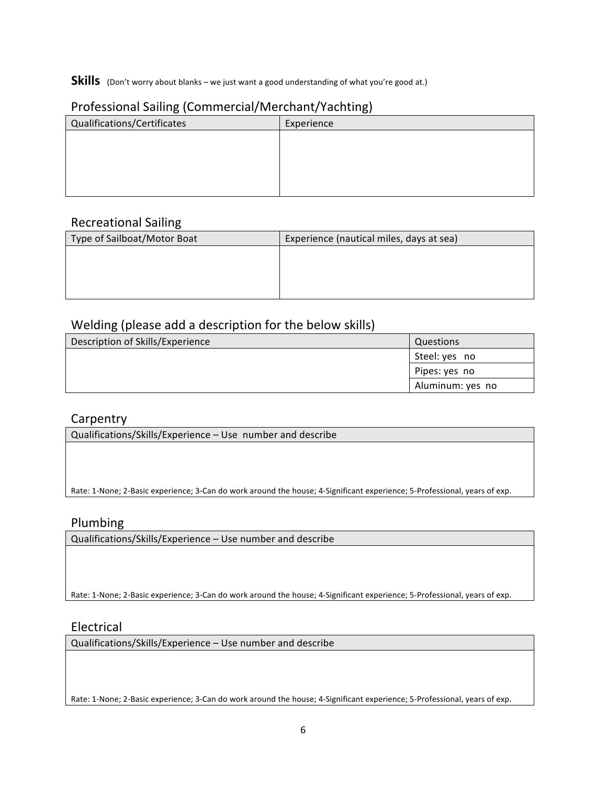#### **Skills** (Don't worry about blanks – we just want a good understanding of what you're good at.)

#### Professional Sailing (Commercial/Merchant/Yachting)

| Qualifications/Certificates | Experience |
|-----------------------------|------------|
|                             |            |
|                             |            |
|                             |            |
|                             |            |
|                             |            |

#### Recreational Sailing

| Type of Sailboat/Motor Boat | Experience (nautical miles, days at sea) |
|-----------------------------|------------------------------------------|
|                             |                                          |
|                             |                                          |
|                             |                                          |
|                             |                                          |

#### Welding (please add a description for the below skills)

| Description of Skills/Experience | Questions        |
|----------------------------------|------------------|
|                                  | Steel: yes no    |
|                                  | Pipes: yes no    |
|                                  | Aluminum: yes no |

#### Carpentry

Qualifications/Skills/Experience - Use number and describe

Rate: 1-None; 2-Basic experience; 3-Can do work around the house; 4-Significant experience; 5-Professional, years of exp.

#### Plumbing

Qualifications/Skills/Experience - Use number and describe

Rate: 1-None; 2-Basic experience; 3-Can do work around the house; 4-Significant experience; 5-Professional, years of exp.

#### Electrical

Qualifications/Skills/Experience - Use number and describe

Rate: 1-None; 2-Basic experience; 3-Can do work around the house; 4-Significant experience; 5-Professional, years of exp.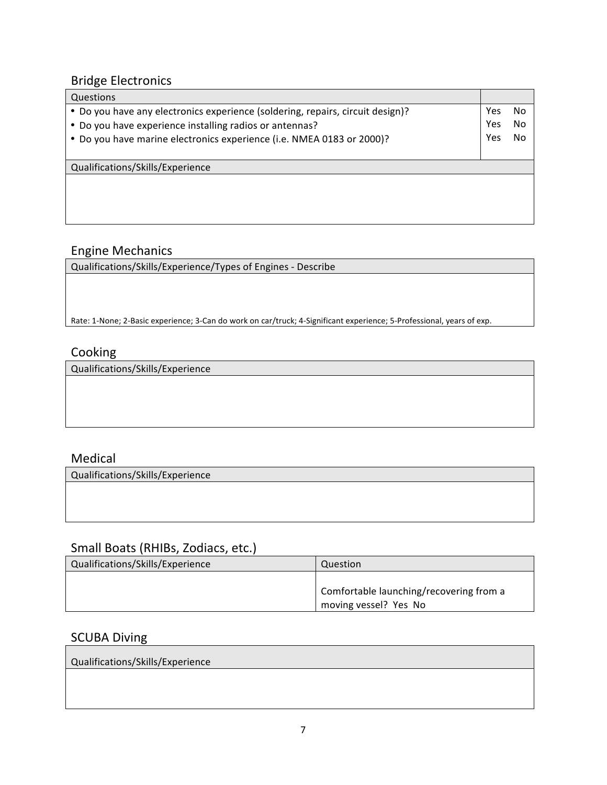## **Bridge Electronics**

| Questions                                                                      |     |    |
|--------------------------------------------------------------------------------|-----|----|
| • Do you have any electronics experience (soldering, repairs, circuit design)? | Yes | No |
| • Do you have experience installing radios or antennas?                        | Yes | No |
| . Do you have marine electronics experience (i.e. NMEA 0183 or 2000)?          | Yes | No |
|                                                                                |     |    |
| Qualifications/Skills/Experience                                               |     |    |
|                                                                                |     |    |
|                                                                                |     |    |
|                                                                                |     |    |

#### Engine Mechanics

Qualifications/Skills/Experience/Types of Engines - Describe

Rate: 1-None; 2-Basic experience; 3-Can do work on car/truck; 4-Significant experience; 5-Professional, years of exp.

## Cooking

Qualifications/Skills/Experience

#### Medical

Qualifications/Skills/Experience

#### Small Boats (RHIBs, Zodiacs, etc.)

| Qualifications/Skills/Experience | Question                                |
|----------------------------------|-----------------------------------------|
|                                  | Comfortable launching/recovering from a |
|                                  | moving vessel? Yes No                   |

#### **SCUBA Diving**

Qualifications/Skills/Experience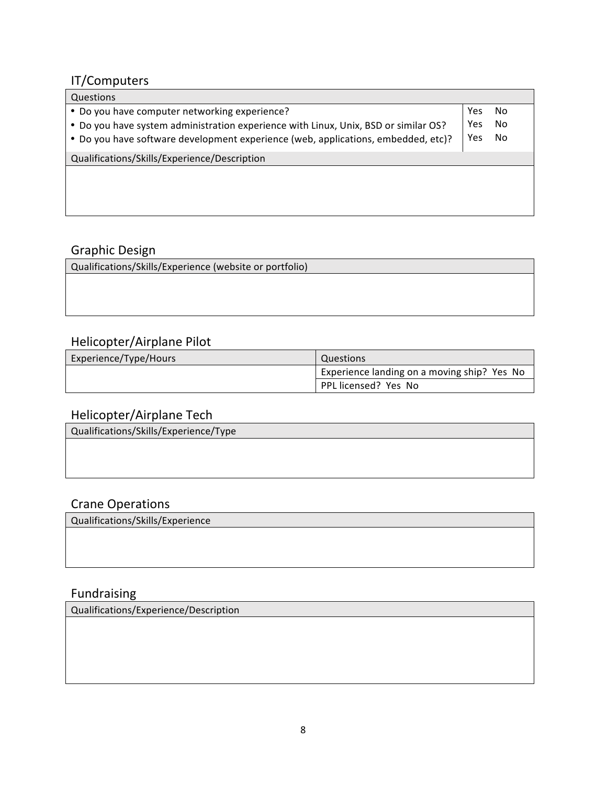## IT/Computers

| Questions                                                                                                                                                                                                                 |                   |                |
|---------------------------------------------------------------------------------------------------------------------------------------------------------------------------------------------------------------------------|-------------------|----------------|
| • Do you have computer networking experience?<br>. Do you have system administration experience with Linux, Unix, BSD or similar OS?<br>• Do you have software development experience (web, applications, embedded, etc)? | Yes<br>Yes<br>Yes | No<br>No<br>No |
| Qualifications/Skills/Experience/Description                                                                                                                                                                              |                   |                |
|                                                                                                                                                                                                                           |                   |                |

#### Graphic Design

Qualifications/Skills/Experience (website or portfolio)

## Helicopter/Airplane Pilot

| Experience/Type/Hours | Questions                                   |
|-----------------------|---------------------------------------------|
|                       | Experience landing on a moving ship? Yes No |
|                       | PPL licensed? Yes No                        |

## Helicopter/Airplane Tech

Qualifications/Skills/Experience/Type

## Crane Operations

Qualifications/Skills/Experience

## Fundraising

Qualifications/Experience/Description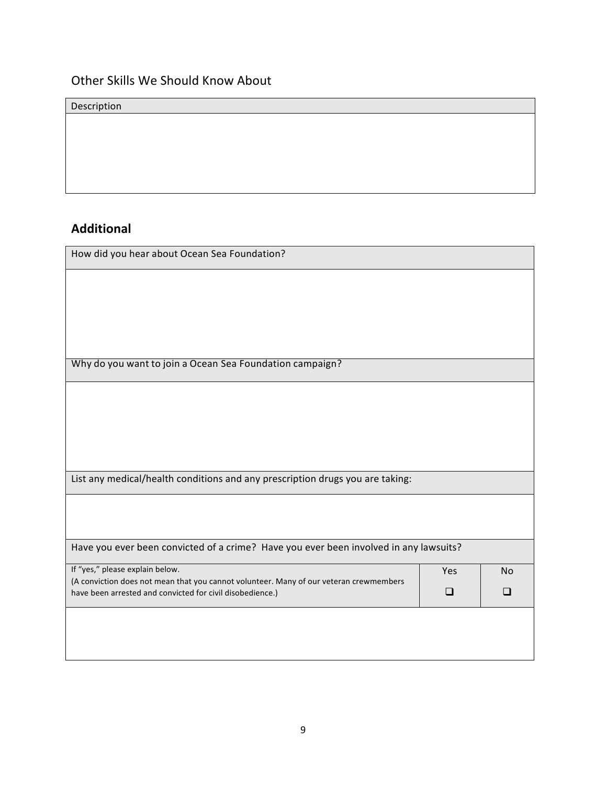## Other Skills We Should Know About

Description

## **Additional**

| How did you hear about Ocean Sea Foundation?                                                                              |     |           |  |
|---------------------------------------------------------------------------------------------------------------------------|-----|-----------|--|
|                                                                                                                           |     |           |  |
|                                                                                                                           |     |           |  |
|                                                                                                                           |     |           |  |
|                                                                                                                           |     |           |  |
| Why do you want to join a Ocean Sea Foundation campaign?                                                                  |     |           |  |
|                                                                                                                           |     |           |  |
|                                                                                                                           |     |           |  |
|                                                                                                                           |     |           |  |
|                                                                                                                           |     |           |  |
| List any medical/health conditions and any prescription drugs you are taking:                                             |     |           |  |
|                                                                                                                           |     |           |  |
|                                                                                                                           |     |           |  |
| Have you ever been convicted of a crime? Have you ever been involved in any lawsuits?                                     |     |           |  |
| If "yes," please explain below.<br>(A conviction does not mean that you cannot volunteer. Many of our veteran crewmembers | Yes | <b>No</b> |  |
| have been arrested and convicted for civil disobedience.)                                                                 | □   | ப         |  |
|                                                                                                                           |     |           |  |
|                                                                                                                           |     |           |  |
|                                                                                                                           |     |           |  |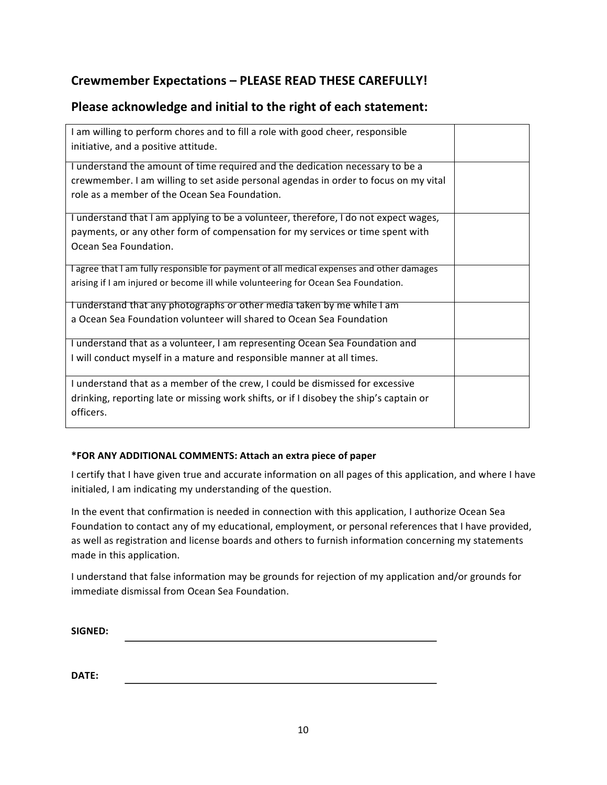## Crewmember Expectations - PLEASE READ THESE CAREFULLY!

## Please acknowledge and initial to the right of each statement:

| I am willing to perform chores and to fill a role with good cheer, responsible<br>initiative, and a positive attitude.                                                                                                 |  |
|------------------------------------------------------------------------------------------------------------------------------------------------------------------------------------------------------------------------|--|
| I understand the amount of time required and the dedication necessary to be a<br>crewmember. I am willing to set aside personal agendas in order to focus on my vital<br>role as a member of the Ocean Sea Foundation. |  |
| I understand that I am applying to be a volunteer, therefore, I do not expect wages,                                                                                                                                   |  |
| payments, or any other form of compensation for my services or time spent with<br>Ocean Sea Foundation.                                                                                                                |  |
| I agree that I am fully responsible for payment of all medical expenses and other damages<br>arising if I am injured or become ill while volunteering for Ocean Sea Foundation.                                        |  |
| I understand that any photographs or other media taken by me while I am<br>a Ocean Sea Foundation volunteer will shared to Ocean Sea Foundation                                                                        |  |
| I understand that as a volunteer, I am representing Ocean Sea Foundation and<br>I will conduct myself in a mature and responsible manner at all times.                                                                 |  |
| I understand that as a member of the crew, I could be dismissed for excessive<br>drinking, reporting late or missing work shifts, or if I disobey the ship's captain or<br>officers.                                   |  |

#### **\*FOR ANY ADDITIONAL COMMENTS: Attach an extra piece of paper**

I certify that I have given true and accurate information on all pages of this application, and where I have initialed, I am indicating my understanding of the question.

In the event that confirmation is needed in connection with this application, I authorize Ocean Sea Foundation to contact any of my educational, employment, or personal references that I have provided, as well as registration and license boards and others to furnish information concerning my statements made in this application.

I understand that false information may be grounds for rejection of my application and/or grounds for immediate dismissal from Ocean Sea Foundation.

| <b>SIGNED:</b> |  |  |  |
|----------------|--|--|--|
|                |  |  |  |

**DATE:**